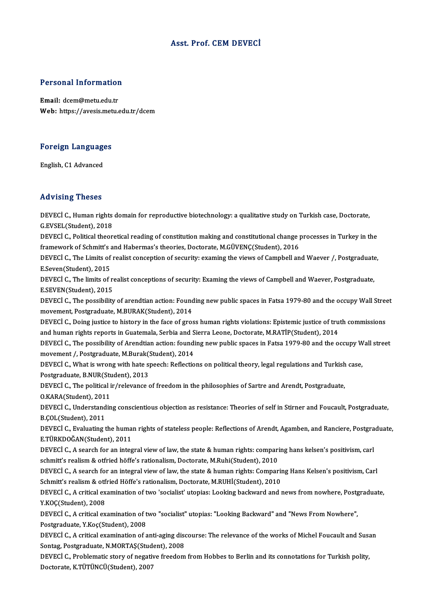#### Asst. Prof. CEMDEVECİ

# Personal Information

Personal Information<br>Email: dcem@metu.edu.tr<br>Web: https://avesis.mstv. Email: dcem@metu.edu.tr<br>Web: https://avesis.metu.edu.tr/dcem

### Foreign Languages <mark>Foreign Language</mark><br>English, C1 Advanced

## **English, C1 Advanced<br>Advising Theses**

Advising Theses<br>DEVECİ C., Human rights domain for reproductive biotechnology: a qualitative study on Turkish case, Doctorate,<br>G.F.VSEL (Student), 2019 Exa vients Thesee<br>DEVECI C., Human rights<br>G.EVSEL(Student), 2018<br>DEVECI C. Bolitical theory DEVECİ C., Human rights domain for reproductive biotechnology: a qualitative study on Turkish case, Doctorate,<br>G.EVSEL(Student), 2018<br>DEVECİ C., Political theoretical reading of constitution making and constitutional chang

G.EVSEL(Student), 2018<br>DEVECİ C., Political theoretical reading of constitution making and constitutional change <sub>I</sub><br>framework of Schmitt's and Habermas's theories, Doctorate, M.GÜVENÇ(Student), 2016<br>DEVECİ C. The Limite o DEVECİ C., Political theoretical reading of constitution making and constitutional change processes in Turkey in the<br>framework of Schmitt's and Habermas's theories, Doctorate, M.GÜVENÇ(Student), 2016<br>DEVECİ C., The Limits

framework of Schmitt's<br>DEVECİ C., The Limits of<br>E.Seven(Student), 2015<br>DEVECİ C. The limits of a DEVECİ C., The Limits of realist conception of security: examing the views of Campbell and Waever /, Postgraduate<br>E.Seven(Student), 2015<br>DEVECİ C., The limits of realist conceptions of security: Examing the views of Campbe

E.Seven(Student), 2015<br>DEVECİ C., The limits of realist conceptions of security: Examing the views of Campbell and Waever, Postgraduate,<br>E.SEVEN(Student), 2015 DEVECİ C., The limits of realist conceptions of security: Examing the views of Campbell and Waever, Postgraduate,<br>E.SEVEN(Student), 2015<br>DEVECİ C., The possibility of arendtian action: Founding new public spaces in Fatsa 1

E.SEVEN(Student), 2015<br>DEVECİ C., The possibility of arendtian action: Found<br>movement, Postgraduate, M.BURAK(Student), 2014<br>DEVECİ C. Doing justice to bistory in the face of gree DEVECİ C., The possibility of arendtian action: Founding new public spaces in Fatsa 1979-80 and the occupy Wall Stree<br>movement, Postgraduate, M.BURAK(Student), 2014<br>DEVECİ C., Doing justice to history in the face of gross

movement, Postgraduate, M.BURAK(Student), 2014<br>DEVECİ C., Doing justice to history in the face of gross human rights violations: Epistemic justice of truth commissions<br>and human rights reports in Guatemala, Serbia and Sier

DEVECI C., The possibility of Arendtian action: founding new public spaces in Fatsa 1979-80 and the occupy Wall street and human rights reports in Guatemala, Serbia and S<br>DEVECİ C., The possibility of Arendtian action: foundi<br>movement /, Postgraduate, M.Burak(Student), 2014<br>DEVECİ C. What is ursara with bata speech: Poflostio

DEVECİ C., What is wrong with hate speech: Reflections on political theory, legal regulations and Turkish case,<br>Postgraduate, B.NUR(Student), 2013 movement /, Postgraduate, M.Burak()<br>DEVECİ C., What is wrong with hate sp<br>Postgraduate, B.NUR(Student), 2013<br>DEVECİ C. The political ir (relayanes 4 DEVECİ C., What is wrong with hate speech: Reflections on political theory, legal regulations and Turkish<br>Postgraduate, B.NUR(Student), 2013<br>DEVECİ C., The political ir/relevance of freedom in the philosophies of Sartre an

Postgraduate, B.NUR(Student)<br>DEVECI C., The political i<br>O.KARA(Student), 2011<br>DEVECI C. Understandin DEVECİ C., The political ir/relevance of freedom in the philosophies of Sartre and Arendt, Postgraduate,<br>O.KARA(Student), 2011<br>DEVECİ C., Understanding conscientious objection as resistance: Theories of self in Stirner and

O.KARA(Student), 2011<br>DEVECI C., Understand<br>B.ÇOL(Student), 2011<br>DEVECI C. Evaluating t DEVECİ C., Understanding conscientious objection as resistance: Theories of self in Stirner and Foucault, Postgraduate,<br>B.ÇOL(Student), 2011<br>DEVECİ C., Evaluating the human rights of stateless people: Reflections of Arendt

B.ÇOL(Student), 2011<br>DEVECİ C., Evaluating the human rights of stateless people: Reflections of Arendt, Agamben, and Ranciere, Postgraduate,<br>E.TÜRKDOĞAN(Student), 2011 DEVECİ C., Evaluating the human rights of stateless people: Reflections of Arendt, Agamben, and Ranciere, Postgra<br>E.TÜRKDOĞAN(Student), 2011<br>DEVECİ C., A search for an integral view of law, the state & human rights: compar

E.TÜRKDOĞAN(Student), 2011<br>DEVECİ C., A search for an integral view of law, the state & human rights: compari<br>schmitt's realism & otfried höffe's rationalism, Doctorate, M.Ruhi(Student), 2010<br>DEVECİ C. A search for an inte DEVECİ C., A search for an integral view of law, the state & human rights: comparing hans kelsen's positivism, carl<br>schmitt's realism & otfried höffe's rationalism, Doctorate, M.Ruhi(Student), 2010<br>DEVECİ C., A search for

schmitt's realism & otfried höffe's rationalism, Doctorate, M.Ruhi(Student), 2010<br>DEVECİ C., A search for an integral view of law, the state & human rights: Comparii<br>Schmitt's realism & otfried Höffe's rationalism, Doctora DEVECİ C., A search for an integral view of law, the state & human rights: Comparing Hans Kelsen's positivism, Carl<br>Schmitt's realism & otfried Höffe's rationalism, Doctorate, M.RUHİ(Student), 2010<br>DEVECİ C., A critical ex

Schmitt's realism & otfried Höffe's rationalism, Doctorate, M.RUHİ(Student), 2010<br>DEVECİ C., A critical examination of two 'socialist' utopias: Looking backward and news from nowhere, Postgraduate,<br>Y.KOÇ(Student), 2008 DEVECİ C., A critical examination of two 'socialist' utopias: Looking backward and news from nowhere, Postg<br>Y.KOÇ(Student), 2008<br>DEVECİ C., A critical examination of two "socialist" utopias: "Looking Backward" and "News Fr

Y.KOÇ(Student), 2008<br>DEVECİ C., A critical examination of t<br>Postgraduate, Y.Koç(Student), 2008<br>DEVECİ C. A gritical examination of a DEVECİ C., A critical examination of two "socialist" utopias: "Looking Backward" and "News From Nowhere",<br>Postgraduate, Y.Koç(Student), 2008<br>DEVECİ C., A critical examination of anti-aging discourse: The relevance of the w

Postgraduate, Y.Koç(Student), 2008<br>DEVECİ C., A critical examination of anti-aging dise<br>Sontag, Postgraduate, N.MORTAŞ(Student), 2008<br>DEVECİ C. Problomatis story of nagatiye freedom DEVECİ C., A critical examination of anti-aging discourse: The relevance of the works of Michel Foucault and Susa<br>Sontag, Postgraduate, N.MORTAŞ(Student), 2008<br>DEVECİ C., Problematic story of negative freedom from Hobbes t

Sontag, Postgraduate, N.MORTAŞ(Stud<br>DEVECİ C., Problematic story of negativ<br>Doctorate, K.TÜTÜNCÜ(Student), 2007